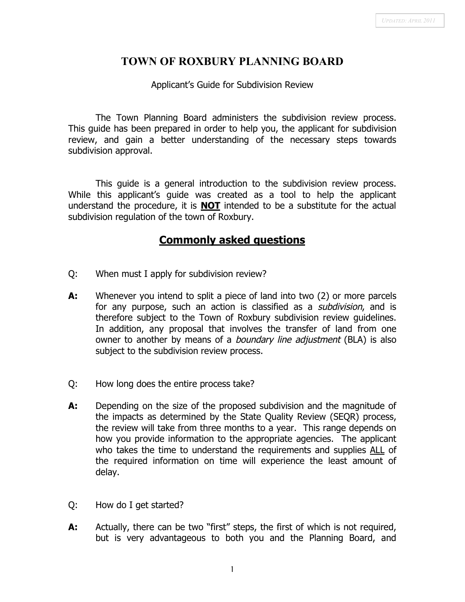# **TOWN OF ROXBURY PLANNING BOARD**

#### Applicant's Guide for Subdivision Review

The Town Planning Board administers the subdivision review process. This guide has been prepared in order to help you, the applicant for subdivision review, and gain a better understanding of the necessary steps towards subdivision approval.

This guide is a general introduction to the subdivision review process. While this applicant's guide was created as a tool to help the applicant understand the procedure, it is **NOT** intended to be a substitute for the actual subdivision regulation of the town of Roxbury.

### **Commonly asked questions**

- Q: When must I apply for subdivision review?
- **A:** Whenever you intend to split a piece of land into two (2) or more parcels for any purpose, such an action is classified as a *subdivision*, and is therefore subject to the Town of Roxbury subdivision review guidelines. In addition, any proposal that involves the transfer of land from one owner to another by means of a *boundary line adjustment* (BLA) is also subject to the subdivision review process.
- Q: How long does the entire process take?
- **A:** Depending on the size of the proposed subdivision and the magnitude of the impacts as determined by the State Quality Review (SEQR) process, the review will take from three months to a year. This range depends on how you provide information to the appropriate agencies. The applicant who takes the time to understand the requirements and supplies ALL of the required information on time will experience the least amount of delay.
- Q: How do I get started?
- **A:** Actually, there can be two "first" steps, the first of which is not required, but is very advantageous to both you and the Planning Board, and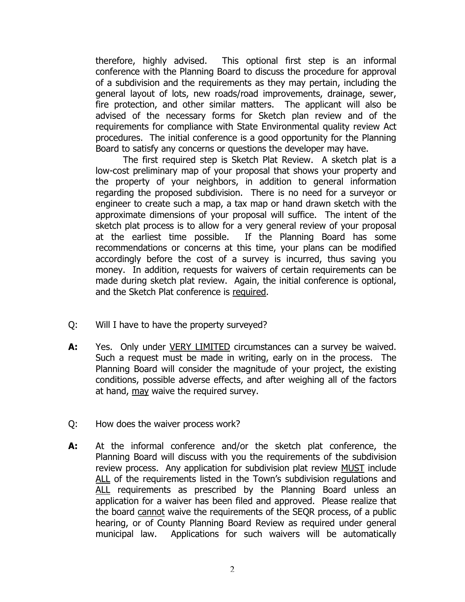therefore, highly advised. This optional first step is an informal conference with the Planning Board to discuss the procedure for approval of a subdivision and the requirements as they may pertain, including the general layout of lots, new roads/road improvements, drainage, sewer, fire protection, and other similar matters. The applicant will also be advised of the necessary forms for Sketch plan review and of the requirements for compliance with State Environmental quality review Act procedures. The initial conference is a good opportunity for the Planning Board to satisfy any concerns or questions the developer may have.

The first required step is Sketch Plat Review. A sketch plat is a low-cost preliminary map of your proposal that shows your property and the property of your neighbors, in addition to general information regarding the proposed subdivision. There is no need for a surveyor or engineer to create such a map, a tax map or hand drawn sketch with the approximate dimensions of your proposal will suffice. The intent of the sketch plat process is to allow for a very general review of your proposal at the earliest time possible. If the Planning Board has some recommendations or concerns at this time, your plans can be modified accordingly before the cost of a survey is incurred, thus saving you money. In addition, requests for waivers of certain requirements can be made during sketch plat review. Again, the initial conference is optional, and the Sketch Plat conference is required.

- Q: Will I have to have the property surveyed?
- **A:** Yes. Only under VERY LIMITED circumstances can a survey be waived. Such a request must be made in writing, early on in the process. The Planning Board will consider the magnitude of your project, the existing conditions, possible adverse effects, and after weighing all of the factors at hand, may waive the required survey.
- Q: How does the waiver process work?
- **A:** At the informal conference and/or the sketch plat conference, the Planning Board will discuss with you the requirements of the subdivision review process. Any application for subdivision plat review MUST include ALL of the requirements listed in the Town's subdivision regulations and ALL requirements as prescribed by the Planning Board unless an application for a waiver has been filed and approved. Please realize that the board cannot waive the requirements of the SEQR process, of a public hearing, or of County Planning Board Review as required under general municipal law. Applications for such waivers will be automatically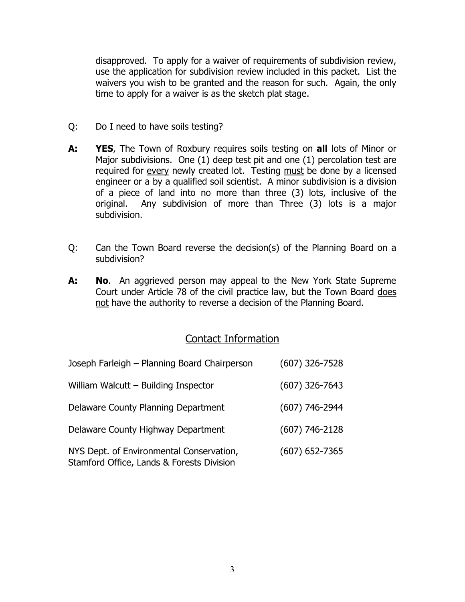disapproved. To apply for a waiver of requirements of subdivision review, use the application for subdivision review included in this packet. List the waivers you wish to be granted and the reason for such. Again, the only time to apply for a waiver is as the sketch plat stage.

- Q: Do I need to have soils testing?
- **A: YES**, The Town of Roxbury requires soils testing on **all** lots of Minor or Major subdivisions. One (1) deep test pit and one (1) percolation test are required for every newly created lot. Testing must be done by a licensed engineer or a by a qualified soil scientist. A minor subdivision is a division of a piece of land into no more than three (3) lots, inclusive of the original. Any subdivision of more than Three (3) lots is a major subdivision.
- Q: Can the Town Board reverse the decision(s) of the Planning Board on a subdivision?
- **A: No**. An aggrieved person may appeal to the New York State Supreme Court under Article 78 of the civil practice law, but the Town Board does not have the authority to reverse a decision of the Planning Board.

### Contact Information

| Joseph Farleigh - Planning Board Chairperson                                          | $(607)$ 326-7528 |
|---------------------------------------------------------------------------------------|------------------|
| William Walcutt - Building Inspector                                                  | $(607)$ 326-7643 |
| Delaware County Planning Department                                                   | $(607)$ 746-2944 |
| Delaware County Highway Department                                                    | $(607)$ 746-2128 |
| NYS Dept. of Environmental Conservation,<br>Stamford Office, Lands & Forests Division | $(607)$ 652-7365 |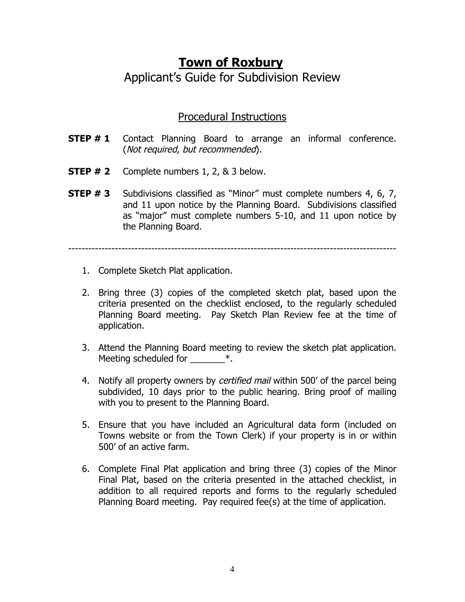# **Town of Roxbury** Applicant's Guide for Subdivision Review

# Procedural Instructions

- **STEP # 1** Contact Planning Board to arrange an informal conference. (Not required, but recommended).
- **STEP # 2** Complete numbers 1, 2, & 3 below.
- **STEP # 3** Subdivisions classified as "Minor" must complete numbers 4, 6, 7, and 11 upon notice by the Planning Board. Subdivisions classified as "major" must complete numbers 5-10, and 11 upon notice by the Planning Board.

---------------------------------------------------------------------------------------------------

- 1. Complete Sketch Plat application.
- 2. Bring three (3) copies of the completed sketch plat, based upon the criteria presented on the checklist enclosed, to the regularly scheduled Planning Board meeting. Pay Sketch Plan Review fee at the time of application.
- 3. Attend the Planning Board meeting to review the sketch plat application. Meeting scheduled for  $*$ .
- 4. Notify all property owners by certified mail within 500' of the parcel being subdivided, 10 days prior to the public hearing. Bring proof of mailing with you to present to the Planning Board.
- 5. Ensure that you have included an Agricultural data form (included on Towns website or from the Town Clerk) if your property is in or within 500' of an active farm.
- 6. Complete Final Plat application and bring three (3) copies of the Minor Final Plat, based on the criteria presented in the attached checklist, in addition to all required reports and forms to the regularly scheduled Planning Board meeting. Pay required fee(s) at the time of application.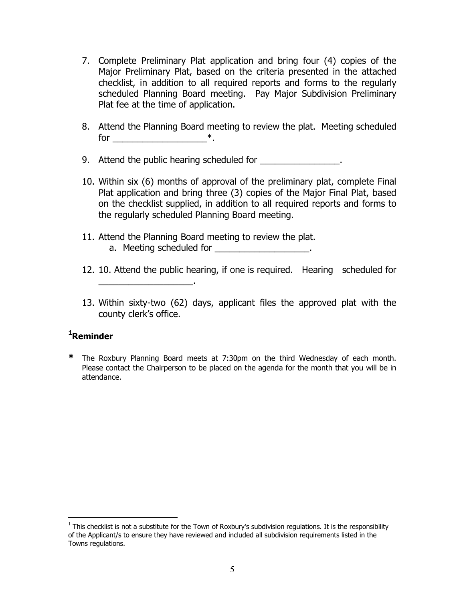- 7. Complete Preliminary Plat application and bring four (4) copies of the Major Preliminary Plat, based on the criteria presented in the attached checklist, in addition to all required reports and forms to the regularly scheduled Planning Board meeting. Pay Major Subdivision Preliminary Plat fee at the time of application.
- 8. Attend the Planning Board meeting to review the plat. Meeting scheduled for  $*$ .
- 9. Attend the public hearing scheduled for  $\blacksquare$
- 10. Within six (6) months of approval of the preliminary plat, complete Final Plat application and bring three (3) copies of the Major Final Plat, based on the checklist supplied, in addition to all required reports and forms to the regularly scheduled Planning Board meeting.
- 11. Attend the Planning Board meeting to review the plat. a. Meeting scheduled for \_\_\_\_\_\_\_\_\_\_\_\_\_\_\_\_\_\_\_\_\_.

\_\_\_\_\_\_\_\_\_\_\_\_\_\_\_\_\_\_\_.

- 12. 10. Attend the public hearing, if one is required. Hearing scheduled for
- 13. Within sixty-two (62) days, applicant files the approved plat with the county clerk's office.

### **1 Reminder**

**\*** The Roxbury Planning Board meets at 7:30pm on the third Wednesday of each month. Please contact the Chairperson to be placed on the agenda for the month that you will be in attendance.

 $1$  This checklist is not a substitute for the Town of Roxbury's subdivision regulations. It is the responsibility of the Applicant/s to ensure they have reviewed and included all subdivision requirements listed in the Towns regulations.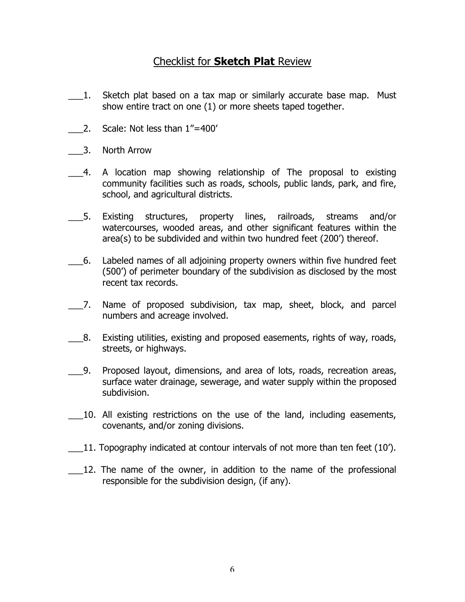# Checklist for **Sketch Plat** Review

- \_\_\_1. Sketch plat based on a tax map or similarly accurate base map. Must show entire tract on one (1) or more sheets taped together.
- 2. Scale: Not less than  $1"$ =400'
- \_\_\_3. North Arrow
- \_\_\_4. A location map showing relationship of The proposal to existing community facilities such as roads, schools, public lands, park, and fire, school, and agricultural districts.
- \_\_\_5. Existing structures, property lines, railroads, streams and/or watercourses, wooded areas, and other significant features within the area(s) to be subdivided and within two hundred feet (200') thereof.
- \_\_\_6. Labeled names of all adjoining property owners within five hundred feet (500') of perimeter boundary of the subdivision as disclosed by the most recent tax records.
- \_\_\_7. Name of proposed subdivision, tax map, sheet, block, and parcel numbers and acreage involved.
- \_\_\_8. Existing utilities, existing and proposed easements, rights of way, roads, streets, or highways.
- \_\_\_9. Proposed layout, dimensions, and area of lots, roads, recreation areas, surface water drainage, sewerage, and water supply within the proposed subdivision.
- \_\_\_10. All existing restrictions on the use of the land, including easements, covenants, and/or zoning divisions.
- \_\_\_11. Topography indicated at contour intervals of not more than ten feet (10').
- 12. The name of the owner, in addition to the name of the professional responsible for the subdivision design, (if any).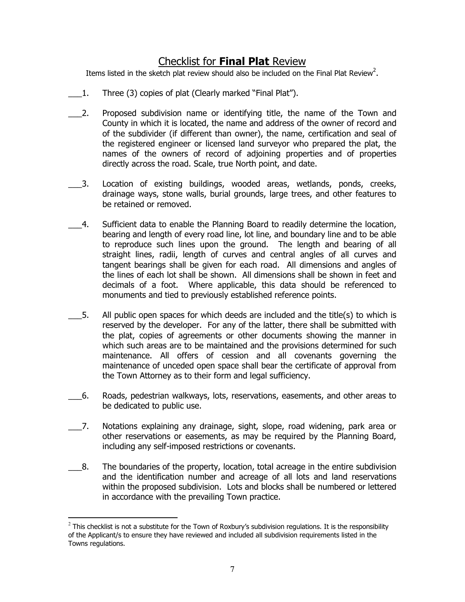# Checklist for **Final Plat** Review

Items listed in the sketch plat review should also be included on the Final Plat Review<sup>2</sup>.

- \_\_\_1. Three (3) copies of plat (Clearly marked "Final Plat").
- \_\_\_2. Proposed subdivision name or identifying title, the name of the Town and County in which it is located, the name and address of the owner of record and of the subdivider (if different than owner), the name, certification and seal of the registered engineer or licensed land surveyor who prepared the plat, the names of the owners of record of adjoining properties and of properties directly across the road. Scale, true North point, and date.
- 3. Location of existing buildings, wooded areas, wetlands, ponds, creeks, drainage ways, stone walls, burial grounds, large trees, and other features to be retained or removed.
- \_\_\_4. Sufficient data to enable the Planning Board to readily determine the location, bearing and length of every road line, lot line, and boundary line and to be able to reproduce such lines upon the ground. The length and bearing of all straight lines, radii, length of curves and central angles of all curves and tangent bearings shall be given for each road. All dimensions and angles of the lines of each lot shall be shown. All dimensions shall be shown in feet and decimals of a foot. Where applicable, this data should be referenced to monuments and tied to previously established reference points.
- 5. All public open spaces for which deeds are included and the title(s) to which is reserved by the developer. For any of the latter, there shall be submitted with the plat, copies of agreements or other documents showing the manner in which such areas are to be maintained and the provisions determined for such maintenance. All offers of cession and all covenants governing the maintenance of unceded open space shall bear the certificate of approval from the Town Attorney as to their form and legal sufficiency.
- \_\_\_6. Roads, pedestrian walkways, lots, reservations, easements, and other areas to be dedicated to public use.
- \_\_\_7. Notations explaining any drainage, sight, slope, road widening, park area or other reservations or easements, as may be required by the Planning Board, including any self-imposed restrictions or covenants.
- $\Box$ 8. The boundaries of the property, location, total acreage in the entire subdivision and the identification number and acreage of all lots and land reservations within the proposed subdivision. Lots and blocks shall be numbered or lettered in accordance with the prevailing Town practice.

 $^2$  This checklist is not a substitute for the Town of Roxbury's subdivision regulations. It is the responsibility of the Applicant/s to ensure they have reviewed and included all subdivision requirements listed in the Towns regulations.